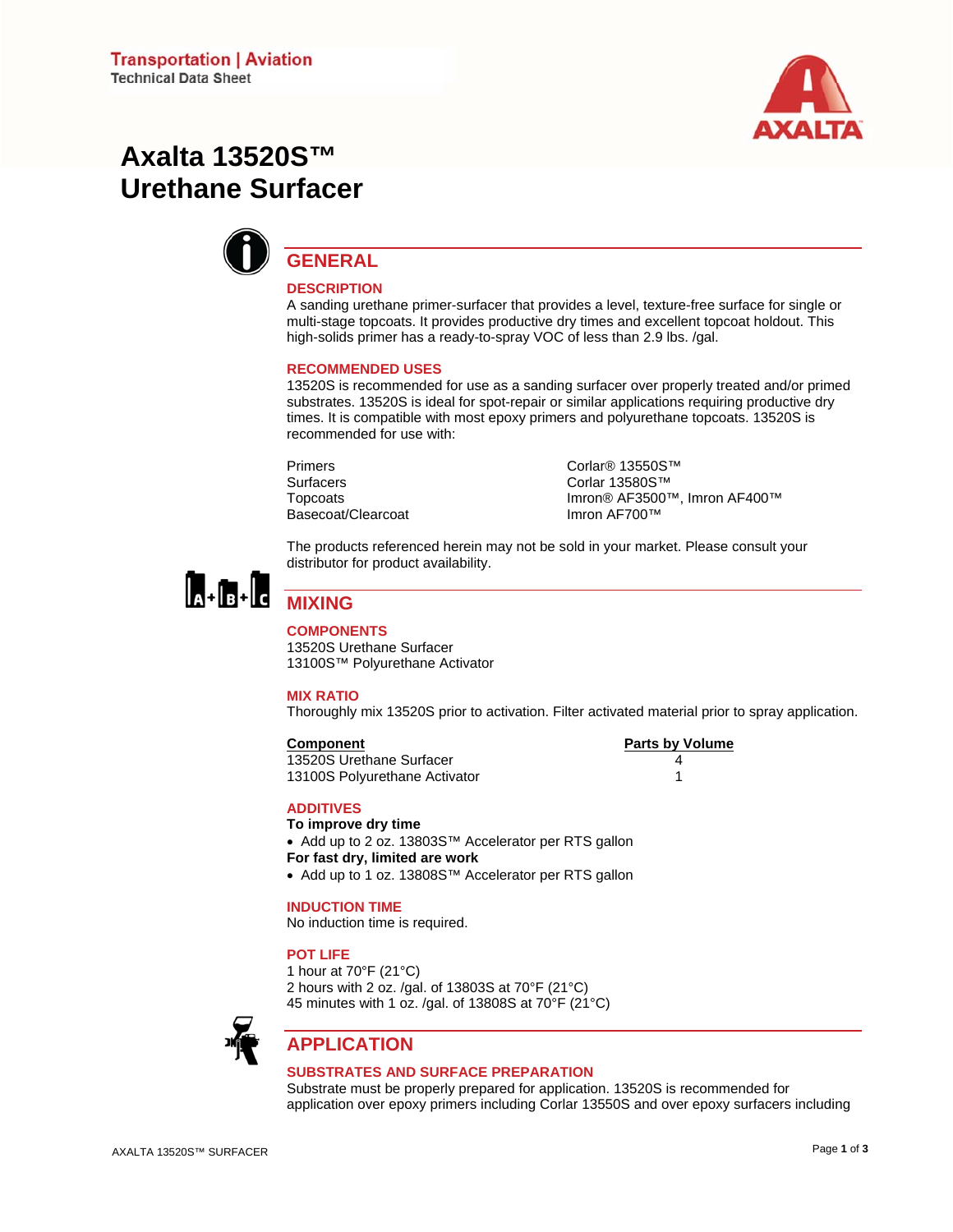

# **Axalta 13520S™ Urethane Surfacer**



# **GENERAL**

# **DESCRIPTION**

A sanding urethane primer-surfacer that provides a level, texture-free surface for single or multi-stage topcoats. It provides productive dry times and excellent topcoat holdout. This high-solids primer has a ready-to-spray VOC of less than 2.9 lbs. /gal.

### **RECOMMENDED USES**

13520S is recommended for use as a sanding surfacer over properly treated and/or primed substrates. 13520S is ideal for spot-repair or similar applications requiring productive dry times. It is compatible with most epoxy primers and polyurethane topcoats. 13520S is recommended for use with:

Primers Corlar® 13550S™<br>Surfacers Corlar 13580S™ Basecoat/Clearcoat Imron AF700™

Corlar 13580S™ Topcoats Imron® AF3500™, Imron AF400™

The products referenced herein may not be sold in your market. Please consult your distributor for product availability.



**COMPONENTS**  13520S Urethane Surfacer 13100S™ Polyurethane Activator

### **MIX RATIO**

Thoroughly mix 13520S prior to activation. Filter activated material prior to spray application.

**Component** 13520S Urethane Surfacer 4 13100S Polyurethane Activator

| <b>Parts by Volume</b> |  |
|------------------------|--|
| Δ                      |  |
|                        |  |

## **ADDITIVES**

**To improve dry time**  Add up to 2 oz. 13803S™ Accelerator per RTS gallon **For fast dry, limited are work** 

Add up to 1 oz. 13808S™ Accelerator per RTS gallon

### **INDUCTION TIME**

No induction time is required.

### **POT LIFE**

1 hour at 70°F (21°C) 2 hours with 2 oz. /gal. of 13803S at 70°F (21°C) 45 minutes with 1 oz. /gal. of 13808S at 70°F (21°C)



# **APPLICATION**

## **SUBSTRATES AND SURFACE PREPARATION**

Substrate must be properly prepared for application. 13520S is recommended for application over epoxy primers including Corlar 13550S and over epoxy surfacers including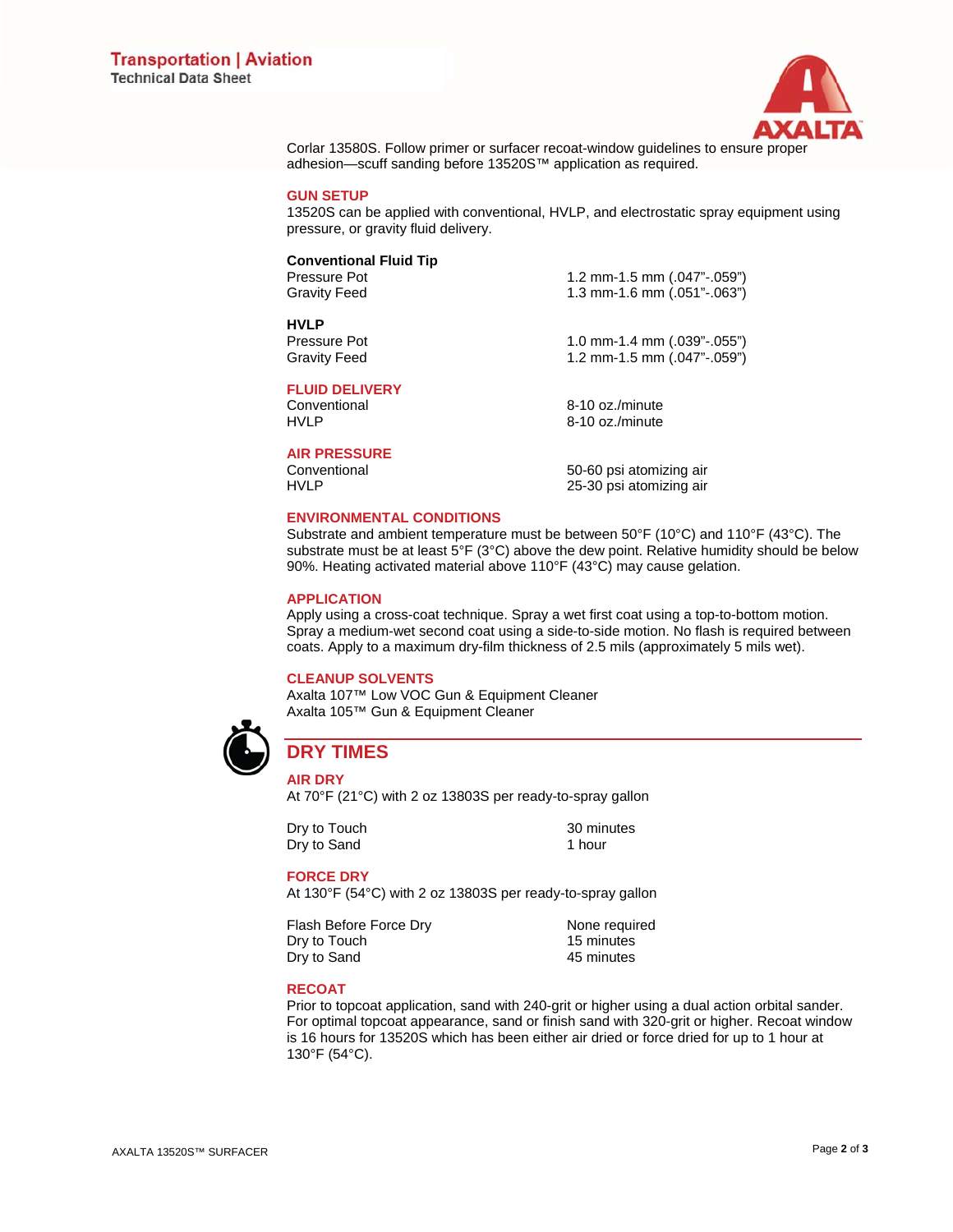

Corlar 13580S. Follow primer or surfacer recoat-window guidelines to ensure proper adhesion—scuff sanding before 13520S™ application as required.

#### **GUN SETUP**

13520S can be applied with conventional, HVLP, and electrostatic spray equipment using pressure, or gravity fluid delivery.

# **Conventional Fluid Tip**

**HVLP** 

1.2 mm-1.5 mm (.047"-.059") Gravity Feed 1.3 mm-1.6 mm (.051"-.063")

1.0 mm-1.4 mm (.039"-.055") Gravity Feed 1.2 mm-1.5 mm (.047"-.059")

### **FLUID DELIVERY**

# **AIR PRESSURE**

Conventional 8-10 oz./minute<br>
HVLP 8-10 oz./minute 8-10 oz./minute

Conventional 50-60 psi atomizing air 25-30 psi atomizing air

### **ENVIRONMENTAL CONDITIONS**

Substrate and ambient temperature must be between 50°F (10°C) and 110°F (43°C). The substrate must be at least 5°F (3°C) above the dew point. Relative humidity should be below 90%. Heating activated material above 110°F (43°C) may cause gelation.

### **APPLICATION**

Apply using a cross-coat technique. Spray a wet first coat using a top-to-bottom motion. Spray a medium-wet second coat using a side-to-side motion. No flash is required between coats. Apply to a maximum dry-film thickness of 2.5 mils (approximately 5 mils wet).

# **CLEANUP SOLVENTS**

Axalta 107™ Low VOC Gun & Equipment Cleaner Axalta 105™ Gun & Equipment Cleaner



# **DRY TIMES**

**AIR DRY** 

At 70°F (21°C) with 2 oz 13803S per ready-to-spray gallon

Dry to Touch 30 minutes Dry to Sand 1 hour

**FORCE DRY** 

At 130°F (54°C) with 2 oz 13803S per ready-to-spray gallon

Flash Before Force Dry **None required**<br>
Drv to Touch 15 minutes Dry to Touch 15 minutes<br>
Dry to Sand 15 minutes Dry to Sand

#### **RECOAT**

Prior to topcoat application, sand with 240-grit or higher using a dual action orbital sander. For optimal topcoat appearance, sand or finish sand with 320-grit or higher. Recoat window is 16 hours for 13520S which has been either air dried or force dried for up to 1 hour at 130°F (54°C).